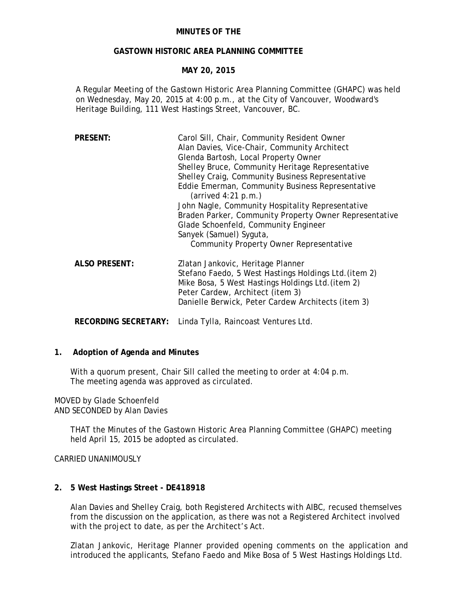## **MINUTES OF THE**

# **GASTOWN HISTORIC AREA PLANNING COMMITTEE**

#### **MAY 20, 2015**

A Regular Meeting of the Gastown Historic Area Planning Committee (GHAPC) was held on Wednesday, May 20, 2015 at 4:00 p.m., at the City of Vancouver, Woodward's Heritage Building, 111 West Hastings Street, Vancouver, BC.

| <b>PRESENT:</b>             | Carol Sill, Chair, Community Resident Owner<br>Alan Davies, Vice-Chair, Community Architect<br>Glenda Bartosh, Local Property Owner<br>Shelley Bruce, Community Heritage Representative<br>Shelley Craig, Community Business Representative<br>Eddie Emerman, Community Business Representative<br>$(\text{arrived } 4:21 \text{ p.m.})$<br>John Nagle, Community Hospitality Representative<br>Braden Parker, Community Property Owner Representative<br>Glade Schoenfeld, Community Engineer<br>Sanyek (Samuel) Syguta,<br>Community Property Owner Representative |
|-----------------------------|----------------------------------------------------------------------------------------------------------------------------------------------------------------------------------------------------------------------------------------------------------------------------------------------------------------------------------------------------------------------------------------------------------------------------------------------------------------------------------------------------------------------------------------------------------------------|
| <b>ALSO PRESENT:</b>        | Zlatan Jankovic, Heritage Planner<br>Stefano Faedo, 5 West Hastings Holdings Ltd. (item 2)<br>Mike Bosa, 5 West Hastings Holdings Ltd. (item 2)<br>Peter Cardew, Architect (item 3)<br>Danielle Berwick, Peter Cardew Architects (item 3)                                                                                                                                                                                                                                                                                                                            |
| <b>RECORDING SECRETARY:</b> | Linda Tylla, Raincoast Ventures Ltd.                                                                                                                                                                                                                                                                                                                                                                                                                                                                                                                                 |

#### **1. Adoption of Agenda and Minutes**

With a quorum present, Chair Sill called the meeting to order at 4:04 p.m. The meeting agenda was approved as circulated.

MOVED by Glade Schoenfeld AND SECONDED by Alan Davies

> THAT the Minutes of the Gastown Historic Area Planning Committee (GHAPC) meeting held April 15, 2015 be adopted as circulated.

CARRIED UNANIMOUSLY

## **2. 5 West Hastings Street - DE418918**

Alan Davies and Shelley Craig, both Registered Architects with AIBC, recused themselves from the discussion on the application, as there was not a Registered Architect involved with the project to date, as per the Architect's Act.

Zlatan Jankovic, Heritage Planner provided opening comments on the application and introduced the applicants, Stefano Faedo and Mike Bosa of 5 West Hastings Holdings Ltd.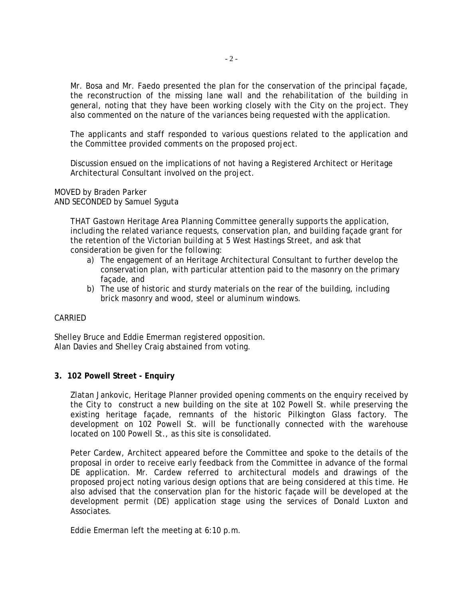Mr. Bosa and Mr. Faedo presented the plan for the conservation of the principal façade, the reconstruction of the missing lane wall and the rehabilitation of the building in general, noting that they have been working closely with the City on the project. They also commented on the nature of the variances being requested with the application.

The applicants and staff responded to various questions related to the application and the Committee provided comments on the proposed project.

Discussion ensued on the implications of not having a Registered Architect or Heritage Architectural Consultant involved on the project.

MOVED by Braden Parker AND SECONDED by Samuel Syguta

> THAT Gastown Heritage Area Planning Committee generally supports the application, including the related variance requests, conservation plan, and building façade grant for the retention of the Victorian building at 5 West Hastings Street, and ask that consideration be given for the following:

- a) The engagement of an Heritage Architectural Consultant to further develop the conservation plan, with particular attention paid to the masonry on the primary façade, and
- b) The use of historic and sturdy materials on the rear of the building, including brick masonry and wood, steel or aluminum windows.

# CARRIED

Shelley Bruce and Eddie Emerman registered opposition. Alan Davies and Shelley Craig abstained from voting.

## **3. 102 Powell Street - Enquiry**

Zlatan Jankovic, Heritage Planner provided opening comments on the enquiry received by the City to construct a new building on the site at 102 Powell St. while preserving the existing heritage façade, remnants of the historic Pilkington Glass factory. The development on 102 Powell St. will be functionally connected with the warehouse located on 100 Powell St., as this site is consolidated.

Peter Cardew, Architect appeared before the Committee and spoke to the details of the proposal in order to receive early feedback from the Committee in advance of the formal DE application. Mr. Cardew referred to architectural models and drawings of the proposed project noting various design options that are being considered at this time. He also advised that the conservation plan for the historic façade will be developed at the development permit (DE) application stage using the services of Donald Luxton and Associates.

Eddie Emerman left the meeting at 6:10 p.m.